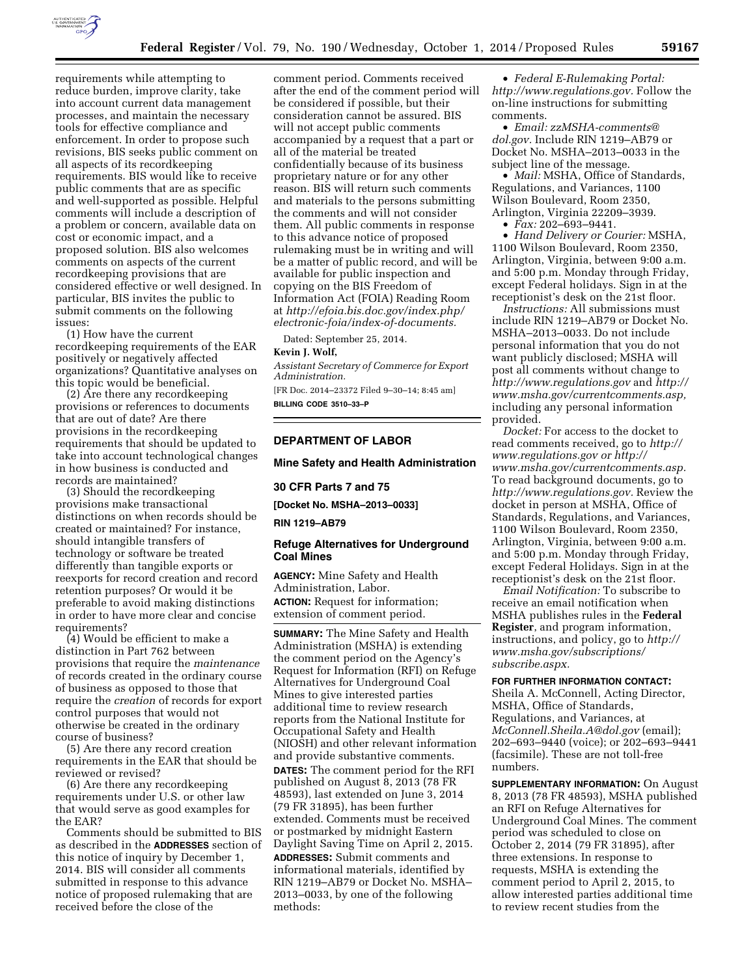

requirements while attempting to reduce burden, improve clarity, take into account current data management processes, and maintain the necessary tools for effective compliance and enforcement. In order to propose such revisions, BIS seeks public comment on all aspects of its recordkeeping requirements. BIS would like to receive public comments that are as specific and well-supported as possible. Helpful comments will include a description of a problem or concern, available data on cost or economic impact, and a proposed solution. BIS also welcomes comments on aspects of the current recordkeeping provisions that are considered effective or well designed. In particular, BIS invites the public to submit comments on the following issues:

(1) How have the current recordkeeping requirements of the EAR positively or negatively affected organizations? Quantitative analyses on this topic would be beneficial.

(2) Are there any recordkeeping provisions or references to documents that are out of date? Are there provisions in the recordkeeping requirements that should be updated to take into account technological changes in how business is conducted and records are maintained?

(3) Should the recordkeeping provisions make transactional distinctions on when records should be created or maintained? For instance, should intangible transfers of technology or software be treated differently than tangible exports or reexports for record creation and record retention purposes? Or would it be preferable to avoid making distinctions in order to have more clear and concise requirements?

(4) Would be efficient to make a distinction in Part 762 between provisions that require the *maintenance*  of records created in the ordinary course of business as opposed to those that require the *creation* of records for export control purposes that would not otherwise be created in the ordinary course of business?

(5) Are there any record creation requirements in the EAR that should be reviewed or revised?

(6) Are there any recordkeeping requirements under U.S. or other law that would serve as good examples for the EAR?

Comments should be submitted to BIS as described in the **ADDRESSES** section of this notice of inquiry by December 1, 2014. BIS will consider all comments submitted in response to this advance notice of proposed rulemaking that are received before the close of the

comment period. Comments received after the end of the comment period will be considered if possible, but their consideration cannot be assured. BIS will not accept public comments accompanied by a request that a part or all of the material be treated confidentially because of its business proprietary nature or for any other reason. BIS will return such comments and materials to the persons submitting the comments and will not consider them. All public comments in response to this advance notice of proposed rulemaking must be in writing and will be a matter of public record, and will be available for public inspection and copying on the BIS Freedom of Information Act (FOIA) Reading Room at *http://efoia.bis.doc.gov/index.php/ electronic-foia/index-of-documents.* 

Dated: September 25, 2014.

#### **Kevin J. Wolf,**

*Assistant Secretary of Commerce for Export Administration.* 

[FR Doc. 2014–23372 Filed 9–30–14; 8:45 am] **BILLING CODE 3510–33–P** 

# **DEPARTMENT OF LABOR**

**Mine Safety and Health Administration** 

#### **30 CFR Parts 7 and 75**

**[Docket No. MSHA–2013–0033]** 

**RIN 1219–AB79** 

### **Refuge Alternatives for Underground Coal Mines**

**AGENCY:** Mine Safety and Health Administration, Labor. **ACTION:** Request for information; extension of comment period.

**SUMMARY:** The Mine Safety and Health Administration (MSHA) is extending the comment period on the Agency's Request for Information (RFI) on Refuge Alternatives for Underground Coal Mines to give interested parties additional time to review research reports from the National Institute for Occupational Safety and Health (NIOSH) and other relevant information and provide substantive comments. **DATES:** The comment period for the RFI published on August 8, 2013 (78 FR 48593), last extended on June 3, 2014 (79 FR 31895), has been further extended. Comments must be received or postmarked by midnight Eastern Daylight Saving Time on April 2, 2015. **ADDRESSES:** Submit comments and informational materials, identified by RIN 1219–AB79 or Docket No. MSHA– 2013–0033, by one of the following methods:

• *Federal E-Rulemaking Portal: http://www.regulations.gov.* Follow the on-line instructions for submitting comments.

• *Email: zzMSHA-comments@ dol.gov.* Include RIN 1219–AB79 or Docket No. MSHA–2013–0033 in the subject line of the message.

• *Mail:* MSHA, Office of Standards, Regulations, and Variances, 1100 Wilson Boulevard, Room 2350, Arlington, Virginia 22209–3939.

• *Fax:* 202–693–9441.

• *Hand Delivery or Courier:* MSHA, 1100 Wilson Boulevard, Room 2350, Arlington, Virginia, between 9:00 a.m. and 5:00 p.m. Monday through Friday, except Federal holidays. Sign in at the receptionist's desk on the 21st floor.

*Instructions:* All submissions must include RIN 1219–AB79 or Docket No. MSHA–2013–0033. Do not include personal information that you do not want publicly disclosed; MSHA will post all comments without change to *http://www.regulations.gov* and *http:// www.msha.gov/currentcomments.asp,*  including any personal information provided.

*Docket:* For access to the docket to read comments received, go to *http:// www.regulations.gov or http:// www.msha.gov/currentcomments.asp.*  To read background documents, go to *http://www.regulations.gov.* Review the docket in person at MSHA, Office of Standards, Regulations, and Variances, 1100 Wilson Boulevard, Room 2350, Arlington, Virginia, between 9:00 a.m. and 5:00 p.m. Monday through Friday, except Federal Holidays. Sign in at the receptionist's desk on the 21st floor.

*Email Notification:* To subscribe to receive an email notification when MSHA publishes rules in the **Federal Register**, and program information, instructions, and policy, go to *http:// www.msha.gov/subscriptions/ subscribe.aspx.* 

**FOR FURTHER INFORMATION CONTACT:**  Sheila A. McConnell, Acting Director, MSHA, Office of Standards, Regulations, and Variances, at *McConnell.Sheila.A@dol.gov* (email); 202–693–9440 (voice); or 202–693–9441 (facsimile). These are not toll-free numbers.

**SUPPLEMENTARY INFORMATION:** On August 8, 2013 (78 FR 48593), MSHA published an RFI on Refuge Alternatives for Underground Coal Mines. The comment period was scheduled to close on October 2, 2014 (79 FR 31895), after three extensions. In response to requests, MSHA is extending the comment period to April 2, 2015, to allow interested parties additional time to review recent studies from the